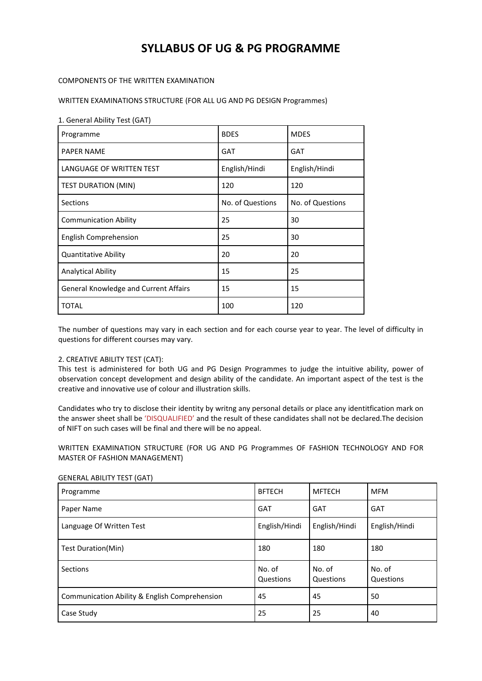# **SYLLABUS OF UG & PG PROGRAMME**

## COMPONENTS OF THE WRITTEN EXAMINATION

WRITTEN EXAMINATIONS STRUCTURE (FOR ALL UG AND PG DESIGN Programmes)

### 1. General Ability Test (GAT)

| Programme                                    | <b>BDES</b>      | <b>MDES</b>      |  |
|----------------------------------------------|------------------|------------------|--|
| <b>PAPER NAME</b>                            | <b>GAT</b>       | GAT              |  |
| LANGUAGE OF WRITTEN TEST                     | English/Hindi    | English/Hindi    |  |
| <b>TEST DURATION (MIN)</b>                   | 120              | 120              |  |
| <b>Sections</b>                              | No. of Questions | No. of Questions |  |
| <b>Communication Ability</b>                 | 25               | 30               |  |
| <b>English Comprehension</b>                 | 25               | 30               |  |
| <b>Quantitative Ability</b>                  | 20               | 20               |  |
| <b>Analytical Ability</b>                    | 15               | 25               |  |
| <b>General Knowledge and Current Affairs</b> | 15               | 15               |  |
| <b>TOTAL</b>                                 | 100              | 120              |  |

The number of questions may vary in each section and for each course year to year. The level of difficulty in questions for different courses may vary.

### 2. CREATIVE ABILITY TEST (CAT):

This test is administered for both UG and PG Design Programmes to judge the intuitive ability, power of observation concept development and design ability of the candidate. An important aspect of the test is the creative and innovative use of colour and illustration skills.

Candidates who try to disclose their identity by writng any personal details or place any identitfication mark on the answer sheet shall be 'DISQUALIFIED' and the result of these candidates shall not be declared.The decision of NIFT on such cases will be final and there will be no appeal.

WRITTEN EXAMINATION STRUCTURE (FOR UG AND PG Programmes OF FASHION TECHNOLOGY AND FOR MASTER OF FASHION MANAGEMENT)

| Programme                                     | <b>BFTECH</b>       | <b>MFTECH</b>       | <b>MFM</b>          |
|-----------------------------------------------|---------------------|---------------------|---------------------|
| Paper Name                                    | <b>GAT</b>          | <b>GAT</b>          | <b>GAT</b>          |
| Language Of Written Test                      | English/Hindi       | English/Hindi       | English/Hindi       |
| Test Duration(Min)                            | 180                 | 180                 | 180                 |
| Sections                                      | No. of<br>Questions | No. of<br>Questions | No. of<br>Questions |
| Communication Ability & English Comprehension | 45                  | 45                  | 50                  |
| Case Study                                    | 25                  | 25                  | 40                  |

#### GENERAL ABILITY TEST (GAT)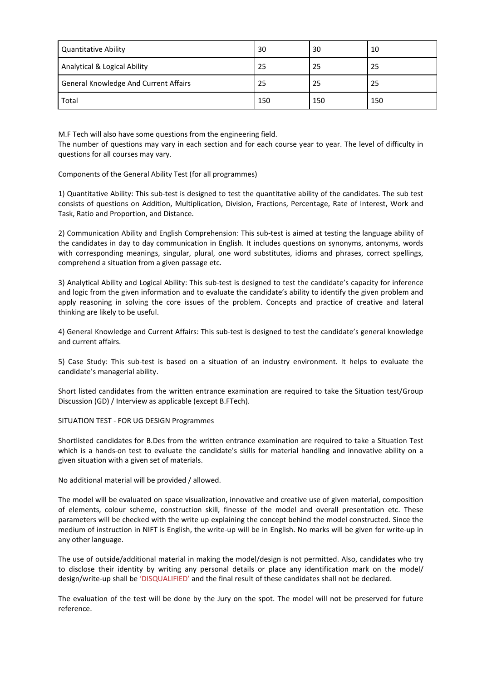| <b>Quantitative Ability</b>           | 30  | 30  | 10  |
|---------------------------------------|-----|-----|-----|
| Analytical & Logical Ability          | 25  | 25  | 25  |
| General Knowledge And Current Affairs | 25  | 25  | -25 |
| Total                                 | 150 | 150 | 150 |

M.F Tech will also have some questions from the engineering field. The number of questions may vary in each section and for each course year to year. The level of difficulty in questions for all courses may vary.

Components of the General Ability Test (for all programmes)

1) Quantitative Ability: This sub-test is designed to test the quantitative ability of the candidates. The sub test consists of questions on Addition, Multiplication, Division, Fractions, Percentage, Rate of Interest, Work and Task, Ratio and Proportion, and Distance.

2) Communication Ability and English Comprehension: This sub-test is aimed at testing the language ability of the candidates in day to day communication in English. It includes questions on synonyms, antonyms, words with corresponding meanings, singular, plural, one word substitutes, idioms and phrases, correct spellings, comprehend a situation from a given passage etc.

3) Analytical Ability and Logical Ability: This sub-test is designed to test the candidate's capacity for inference and logic from the given information and to evaluate the candidate's ability to identify the given problem and apply reasoning in solving the core issues of the problem. Concepts and practice of creative and lateral thinking are likely to be useful.

4) General Knowledge and Current Affairs: This sub-test is designed to test the candidate's general knowledge and current affairs.

5) Case Study: This sub-test is based on a situation of an industry environment. It helps to evaluate the candidate's managerial ability.

Short listed candidates from the written entrance examination are required to take the Situation test/Group Discussion (GD) / Interview as applicable (except B.FTech).

SITUATION TEST - FOR UG DESIGN Programmes

Shortlisted candidates for B.Des from the written entrance examination are required to take a Situation Test which is a hands-on test to evaluate the candidate's skills for material handling and innovative ability on a given situation with a given set of materials.

No additional material will be provided / allowed.

The model will be evaluated on space visualization, innovative and creative use of given material, composition of elements, colour scheme, construction skill, finesse of the model and overall presentation etc. These parameters will be checked with the write up explaining the concept behind the model constructed. Since the medium of instruction in NIFT is English, the write-up will be in English. No marks will be given for write-up in any other language.

The use of outside/additional material in making the model/design is not permitted. Also, candidates who try to disclose their identity by writing any personal details or place any identification mark on the model/ design/write-up shall be 'DISQUALIFIED' and the final result of these candidates shall not be declared.

The evaluation of the test will be done by the Jury on the spot. The model will not be preserved for future reference.